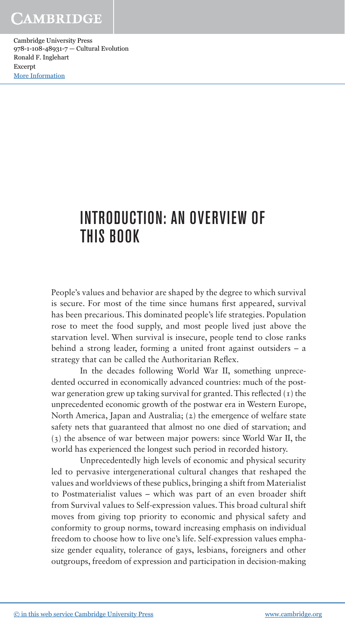Cambridge University Press 978-1-108-48931-7 — Cultural Evolution Ronald F. Inglehart Excerpt [More Information](www.cambridge.org/9781108489317)

# INTRODUCTION: AN OVERVIEW OF THIS BOOK

People's values and behavior are shaped by the degree to which survival is secure. For most of the time since humans first appeared, survival has been precarious. This dominated people's life strategies. Population rose to meet the food supply, and most people lived just above the starvation level. When survival is insecure, people tend to close ranks behind a strong leader, forming a united front against outsiders  $-$  a strategy that can be called the Authoritarian Reflex.

In the decades following World War II, something unprecedented occurred in economically advanced countries: much of the postwar generation grew up taking survival for granted. This reflected  $(1)$  the unprecedented economic growth of the postwar era in Western Europe, North America, Japan and Australia;  $(z)$  the emergence of welfare state safety nets that guaranteed that almost no one died of starvation; and (3) the absence of war between major powers: since World War II, the world has experienced the longest such period in recorded history.

Unprecedentedly high levels of economic and physical security led to pervasive intergenerational cultural changes that reshaped the values and worldviews of these publics, bringing a shift from Materialist to Postmaterialist values - which was part of an even broader shift from Survival values to Self-expression values. This broad cultural shift moves from giving top priority to economic and physical safety and conformity to group norms, toward increasing emphasis on individual freedom to choose how to live one's life. Self-expression values emphasize gender equality, tolerance of gays, lesbians, foreigners and other outgroups, freedom of expression and participation in decision- making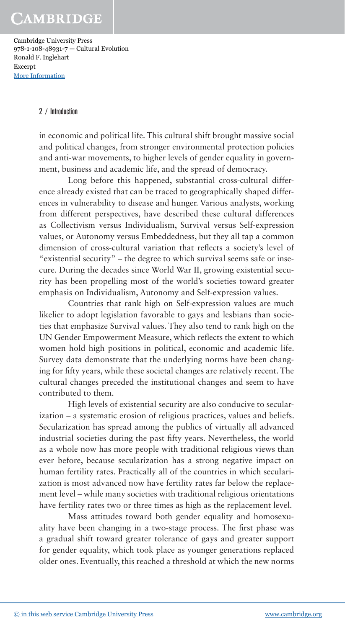Cambridge University Press 978-1-108-48931-7 — Cultural Evolution Ronald F. Inglehart Excerpt [More Information](www.cambridge.org/9781108489317)

#### 2 / Introduction

in economic and political life. This cultural shift brought massive social and political changes, from stronger environmental protection policies and anti-war movements, to higher levels of gender equality in government, business and academic life, and the spread of democracy.

Long before this happened, substantial cross-cultural difference already existed that can be traced to geographically shaped differences in vulnerability to disease and hunger. Various analysts, working from different perspectives, have described these cultural differences as Collectivism versus Individualism, Survival versus Self- expression values, or Autonomy versus Embeddedness, but they all tap a common dimension of cross-cultural variation that reflects a society's level of "existential security" – the degree to which survival seems safe or insecure. During the decades since World War II, growing existential security has been propelling most of the world's societies toward greater emphasis on Individualism, Autonomy and Self-expression values.

Countries that rank high on Self-expression values are much likelier to adopt legislation favorable to gays and lesbians than societies that emphasize Survival values. They also tend to rank high on the UN Gender Empowerment Measure, which reflects the extent to which women hold high positions in political, economic and academic life. Survey data demonstrate that the underlying norms have been changing for fifty years, while these societal changes are relatively recent. The cultural changes preceded the institutional changes and seem to have contributed to them.

High levels of existential security are also conducive to secularization – a systematic erosion of religious practices, values and beliefs. Secularization has spread among the publics of virtually all advanced industrial societies during the past fifty years. Nevertheless, the world as a whole now has more people with traditional religious views than ever before, because secularization has a strong negative impact on human fertility rates. Practically all of the countries in which secularization is most advanced now have fertility rates far below the replacement level – while many societies with traditional religious orientations have fertility rates two or three times as high as the replacement level.

Mass attitudes toward both gender equality and homosexuality have been changing in a two-stage process. The first phase was a gradual shift toward greater tolerance of gays and greater support for gender equality, which took place as younger generations replaced older ones. Eventually, this reached a threshold at which the new norms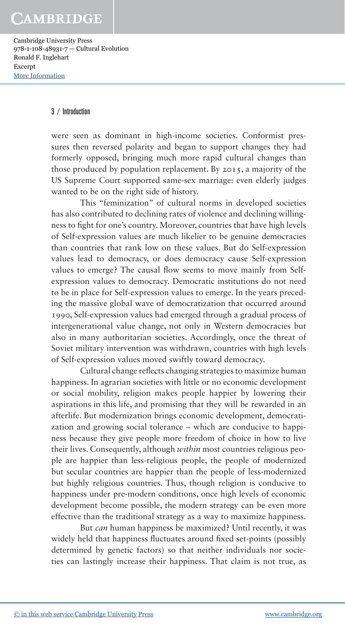Cambridge University Press 978-1-108-48931-7 — Cultural Evolution Ronald F. Inglehart Excerpt [More Information](www.cambridge.org/9781108489317)

#### 3 / Introduction

were seen as dominant in high-income societies. Conformist pressures then reversed polarity and began to support changes they had formerly opposed, bringing much more rapid cultural changes than those produced by population replacement. By 2015, a majority of the US Supreme Court supported same-sex marriage: even elderly judges wanted to be on the right side of history.

This "feminization" of cultural norms in developed societies has also contributed to declining rates of violence and declining willingness to fight for one's country. Moreover, countries that have high levels of Self- expression values are much likelier to be genuine democracies than countries that rank low on these values. But do Self-expression values lead to democracy, or does democracy cause Self-expression values to emerge? The causal flow seems to move mainly from Selfexpression values to democracy. Democratic institutions do not need to be in place for Self-expression values to emerge. In the years preceding the massive global wave of democratization that occurred around 1990, Self- expression values had emerged through a gradual process of intergenerational value change, not only in Western democracies but also in many authoritarian societies. Accordingly, once the threat of Soviet military intervention was withdrawn, countries with high levels of Self-expression values moved swiftly toward democracy.

Cultural change reflects changing strategies to maximize human happiness. In agrarian societies with little or no economic development or social mobility, religion makes people happier by lowering their aspirations in this life, and promising that they will be rewarded in an afterlife. But modernization brings economic development, democratization and growing social tolerance – which are conducive to happiness because they give people more freedom of choice in how to live their lives. Consequently, although *within* most countries religious people are happier than less- religious people, the people of modernized but secular countries are happier than the people of less-modernized but highly religious countries. Thus, though religion is conducive to happiness under pre-modern conditions, once high levels of economic development become possible, the modern strategy can be even more effective than the traditional strategy as a way to maximize happiness.

But *can* human happiness be maximized? Until recently, it was widely held that happiness fluctuates around fixed set-points (possibly determined by genetic factors) so that neither individuals nor societies can lastingly increase their happiness. That claim is not true, as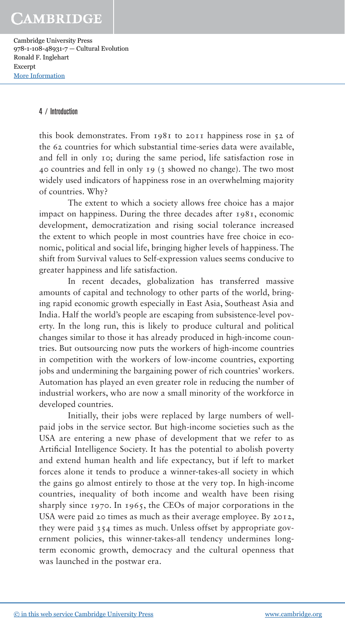Cambridge University Press 978-1-108-48931-7 — Cultural Evolution Ronald F. Inglehart Excerpt [More Information](www.cambridge.org/9781108489317)

#### 4 / Introduction

this book demonstrates. From 1981 to 2011 happiness rose in 52 of the 62 countries for which substantial time- series data were available, and fell in only 10; during the same period, life satisfaction rose in 40 countries and fell in only 19 (3 showed no change). The two most widely used indicators of happiness rose in an overwhelming majority of countries. Why?

The extent to which a society allows free choice has a major impact on happiness. During the three decades after 1981, economic development, democratization and rising social tolerance increased the extent to which people in most countries have free choice in economic, political and social life, bringing higher levels of happiness. The shift from Survival values to Self-expression values seems conducive to greater happiness and life satisfaction.

In recent decades, globalization has transferred massive amounts of capital and technology to other parts of the world, bringing rapid economic growth especially in East Asia, Southeast Asia and India . Half the world's people are escaping from subsistence- level poverty. In the long run, this is likely to produce cultural and political changes similar to those it has already produced in high-income countries. But outsourcing now puts the workers of high-income countries in competition with the workers of low- income countries, exporting jobs and undermining the bargaining power of rich countries' workers. Automation has played an even greater role in reducing the number of industrial workers, who are now a small minority of the workforce in developed countries.

Initially, their jobs were replaced by large numbers of wellpaid jobs in the service sector. But high- income societies such as the USA are entering a new phase of development that we refer to as Artificial Intelligence Society. It has the potential to abolish poverty and extend human health and life expectancy, but if left to market forces alone it tends to produce a winner-takes-all society in which the gains go almost entirely to those at the very top. In high-income countries, inequality of both income and wealth have been rising sharply since 1970. In 1965, the CEOs of major corporations in the USA were paid 20 times as much as their average employee. By 2012, they were paid 354 times as much. Unless offset by appropriate government policies, this winner-takes-all tendency undermines longterm economic growth, democracy and the cultural openness that was launched in the postwar era.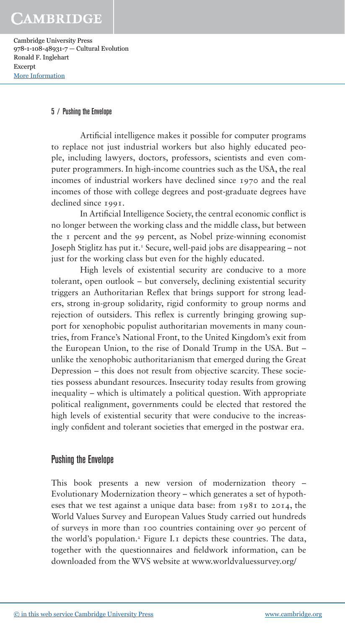Cambridge University Press 978-1-108-48931-7 — Cultural Evolution Ronald F. Inglehart Excerpt [More Information](www.cambridge.org/9781108489317)

#### 5 / Pushing the Envelope

Artificial intelligence makes it possible for computer programs to replace not just industrial workers but also highly educated people, including lawyers, doctors, professors, scientists and even computer programmers. In high-income countries such as the USA, the real incomes of industrial workers have declined since 1970 and the real incomes of those with college degrees and post-graduate degrees have declined since 1991.

In Artificial Intelligence Society, the central economic conflict is no longer between the working class and the middle class, but between the 1 percent and the 99 percent, as Nobel prize- winning economist Joseph Stiglitz has put it.<sup> $1$ </sup> Secure, well-paid jobs are disappearing – not just for the working class but even for the highly educated.

High levels of existential security are conducive to a more tolerant, open outlook – but conversely, declining existential security triggers an Authoritarian Reflex that brings support for strong leaders, strong in-group solidarity, rigid conformity to group norms and rejection of outsiders. This reflex is currently bringing growing support for xenophobic populist authoritarian movements in many countries, from France's National Front, to the United Kingdom's exit from the European Union, to the rise of Donald Trump in the USA. But – unlike the xenophobic authoritarianism that emerged during the Great Depression – this does not result from objective scarcity. These societies possess abundant resources. Insecurity today results from growing inequality –which is ultimately a political question. With appropriate political realignment, governments could be elected that restored the high levels of existential security that were conducive to the increasingly confident and tolerant societies that emerged in the postwar era.

### Pushing the Envelope

This book presents a new version of modernization theory – Evolutionary Modernization theory – which generates a set of hypotheses that we test against a unique data base: from 1981 to 2014, the World Values Survey and European Values Study carried out hundreds of surveys in more than 100 countries containing over 90 percent of the world's population.<sup>2</sup> Figure I.1 depicts these countries. The data, together with the questionnaires and fieldwork information, can be downloaded from the WVS website at www.worldvaluessurvey.org/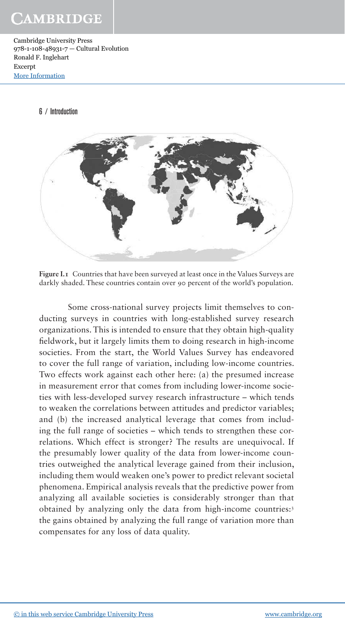Cambridge University Press 978-1-108-48931-7 — Cultural Evolution Ronald F. Inglehart Excerpt [More Information](www.cambridge.org/9781108489317)

#### 6 / Introduction



**Figure I.1** Countries that have been surveyed at least once in the Values Surveys are darkly shaded. These countries contain over 90 percent of the world's population.

Some cross-national survey projects limit themselves to conducting surveys in countries with long-established survey research organizations. This is intended to ensure that they obtain high- quality fieldwork, but it largely limits them to doing research in high-income societies. From the start, the World Values Survey has endeavored to cover the full range of variation, including low- income countries. Two effects work against each other here: (a) the presumed increase in measurement error that comes from including lower-income societies with less- developed survey research infrastructure – which tends to weaken the correlations between attitudes and predictor variables; and (b) the increased analytical leverage that comes from including the full range of societies – which tends to strengthen these correlations. Which effect is stronger? The results are unequivocal. If the presumably lower quality of the data from lower-income countries outweighed the analytical leverage gained from their inclusion, including them would weaken one's power to predict relevant societal phenomena. Empirical analysis reveals that the predictive power from analyzing all available societies is considerably stronger than that obtained by analyzing only the data from high-income countries:<sup>3</sup> the gains obtained by analyzing the full range of variation more than compensates for any loss of data quality.